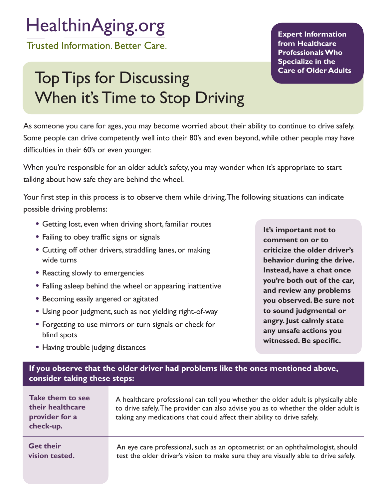## HealthinAging.org

**Trusted Information. Better Care.** 

## Top Tips for Discussing When it's Time to Stop Driving

**Expert Information from Healthcare Professionals Who Specialize in the Care of Older Adults**

As someone you care for ages, you may become worried about their ability to continue to drive safely. Some people can drive competently well into their 80's and even beyond, while other people may have difficulties in their 60's or even younger.

When you're responsible for an older adult's safety, you may wonder when it's appropriate to start talking about how safe they are behind the wheel.

Your first step in this process is to observe them while driving. The following situations can indicate possible driving problems:

- Getting lost, even when driving short, familiar routes
- Failing to obey traffic signs or signals
- Cutting off other drivers, straddling lanes, or making wide turns
- Reacting slowly to emergencies
- Falling asleep behind the wheel or appearing inattentive
- Becoming easily angered or agitated
- Using poor judgment, such as not yielding right-of-way
- Forgetting to use mirrors or turn signals or check for blind spots

**It's important not to comment on or to criticize the older driver's behavior during the drive. Instead, have a chat once you're both out of the car, and review any problems you observed. Be sure not to sound judgmental or angry. Just calmly state any unsafe actions you witnessed. Be specific.**

• Having trouble judging distances

## **If you observe that the older driver had problems like the ones mentioned above, consider taking these steps:**

**Take them to see their healthcare provider for a check-up.**  A healthcare professional can tell you whether the older adult is physically able to drive safely. The provider can also advise you as to whether the older adult is taking any medications that could affect their ability to drive safely. An eye care professional, such as an optometrist or an ophthalmologist, should test the older driver's vision to make sure they are visually able to drive safely. **Get their vision tested.**